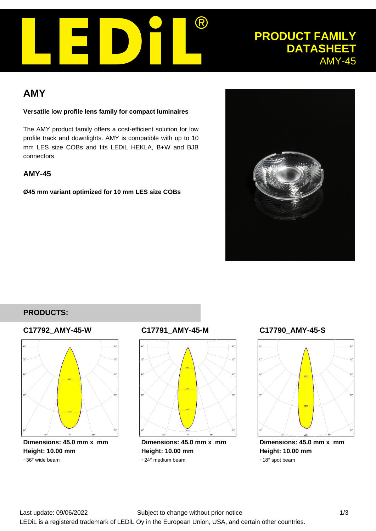

# **PRODUCT FAMILY DATASHEET** AMY-45

# **AMY**

#### **Versatile low profile lens family for compact luminaires**

The AMY product family offers a cost-efficient solution for low profile track and downlights. AMY is compatible with up to 10 mm LES size COBs and fits LEDiL HEKLA, B+W and BJB connectors.

# **AMY-45**

**Ø45 mm variant optimized for 10 mm LES size COBs**



# **PRODUCTS:**

### **C17792\_AMY-45-W**



**Dimensions: 45.0 mm x mm Height: 10.00 mm** ~36° wide beam

# **C17791\_AMY-45-M**



**Dimensions: 45.0 mm x mm Height: 10.00 mm** ~24° medium beam

# **C17790\_AMY-45-S**



**Dimensions: 45.0 mm x mm Height: 10.00 mm** ~18° spot beam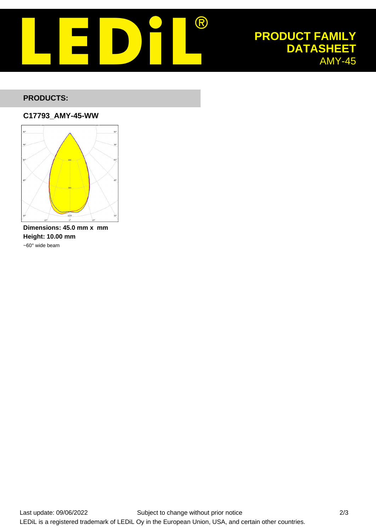

# **PRODUCT FAMILY DATASHEET** AMY-45

## **PRODUCTS:**

#### **C17793\_AMY-45-WW**



**Dimensions: 45.0 mm x mm Height: 10.00 mm** ~60° wide beam